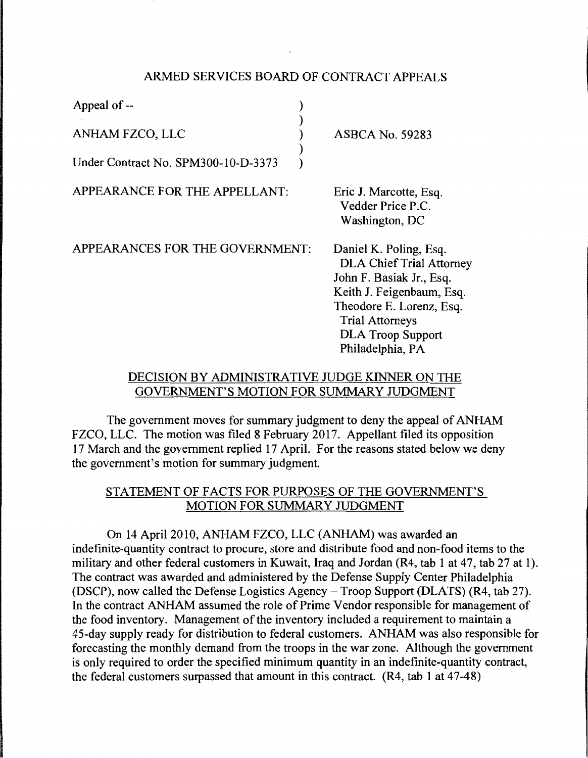## ARMED SERVICES BOARD OF CONTRACT APPEALS

| Appeal of --                        |                                                                                                                                                                                                      |
|-------------------------------------|------------------------------------------------------------------------------------------------------------------------------------------------------------------------------------------------------|
| ANHAM FZCO, LLC                     | <b>ASBCA No. 59283</b>                                                                                                                                                                               |
| Under Contract No. SPM300-10-D-3373 |                                                                                                                                                                                                      |
| APPEARANCE FOR THE APPELLANT:       | Eric J. Marcotte, Esq.<br>Vedder Price P.C.<br>Washington, DC                                                                                                                                        |
| APPEARANCES FOR THE GOVERNMENT:     | Daniel K. Poling, Esq.<br><b>DLA Chief Trial Attorney</b><br>John F. Basiak Jr., Esq.<br>Keith J. Feigenbaum, Esq.<br>Theodore E. Lorenz, Esq.<br><b>Trial Attorneys</b><br><b>DLA Troop Support</b> |

## DECISION BY ADMINISTRATIVE JUDGE KINNER ON THE GOVERNMENT'S MOTION FOR SUMMARY JUDGMENT

Philadelphia, PA

The government moves for summary judgment to deny the appeal of ANHAM FZCO, LLC. The motion was filed 8 February 2017. Appellant filed its opposition 1 7 March and the government replied 17 April. For the reasons stated below we deny the government's motion for summary judgment.

# STATEMENT OF FACTS FOR PURPOSES OF THE GOVERNMENT'S MOTION FOR SUMMARY JUDGMENT

On 14 April 2010, ANHAM FZCO, LLC (ANHAM) was awarded an indefinite-quantity contract to procure, store and distribute food and non-food items to the military and other federal customers in Kuwait, Iraq and Jordan (R4, tab 1 at 47, tab 27 at 1). The contract was awarded and administered by the Defense Supply Center Philadelphia (DSCP), now called the Defense Logistics Agency - Troop Support (DLATS) (R4, tab 27). In the contract ANHAM assumed the role of Prime Vendor responsible for management of the food inventory. Management of the inventory included a requirement to maintain a 45-day supply ready for distribution to federal customers. ANHAM was also responsible for forecasting the monthly demand from the troops in the war zone. Although the government is only required to order the specified minimum quantity in an indefinite-quantity contract, the federal customers surpassed that amount in this contract. (R4, tab 1 at 47-48)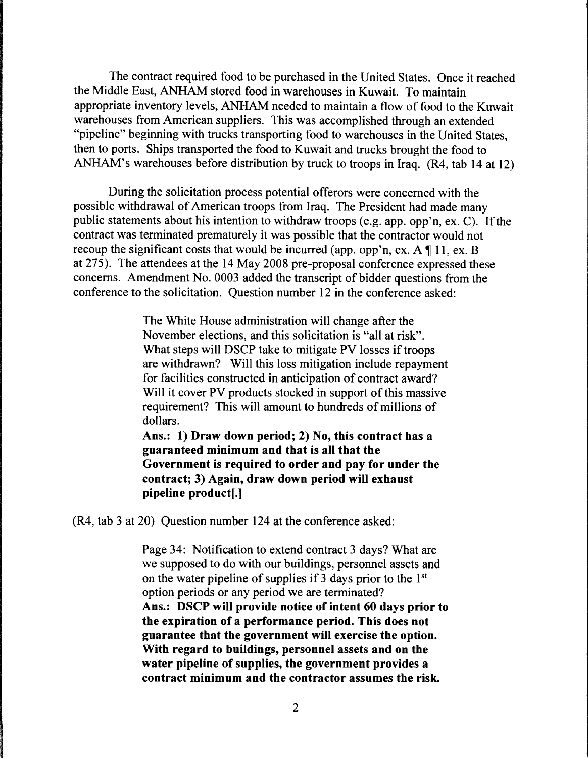The contract required food to be purchased in the United States. Once it reached the Middle East, ANHAM stored food in warehouses in Kuwait. To maintain appropriate inventory levels, ANHAM needed to maintain a flow of food to the Kuwait warehouses from American suppliers. This was accomplished through an extended "pipeline" beginning with trucks transporting food to warehouses in the United States, then to ports. Ships transported the food to Kuwait and trucks brought the food to ANHAM's warehouses before distribution by truck to troops in Iraq. (R4, tab 14 at 12)

During the solicitation process potential offerors were concerned with the possible withdrawal of American troops from Iraq. The President had made many public statements about his intention to withdraw troops (e.g. app. opp'n, ex. C). If the contract was terminated prematurely it was possible that the contractor would not recoup the significant costs that would be incurred (app. opp'n, ex.  $A \parallel 11$ , ex. B at 275). The attendees at the 14 May 2008 pre-proposal conference expressed these concerns. Amendment No. 0003 added the transcript of bidder questions from the conference to the solicitation. Question number 12 in the conference asked:

> The White House administration will change after the November elections, and this solicitation is "all at risk". What steps will DSCP take to mitigate PV losses if troops are withdrawn? Will this loss mitigation include repayment for facilities constructed in anticipation of contract award? Will it cover PV products stocked in support of this massive requirement? This will amount to hundreds of millions of dollars.

Ans.: 1) Draw down period; 2) No, this contract has a guaranteed minimum and that is all that the Government is required to order and pay for under the contract; 3) Again, draw down period will exhaust pipeline product[.]

(R4, tab 3 at 20) Question number 124 at the conference asked:

Page 34: Notification to extend contract 3 days? What are we supposed to do with our buildings, personnel assets and on the water pipeline of supplies if 3 days prior to the 1st option periods or any period we are terminated? Ans.: DSCP will provide notice of intent 60 days prior to the expiration of a performance period. This does not guarantee that the government will exercise the option. With regard to buildings, personnel assets and on the water pipeline of supplies, the government provides a contract minimum and the contractor assumes the risk.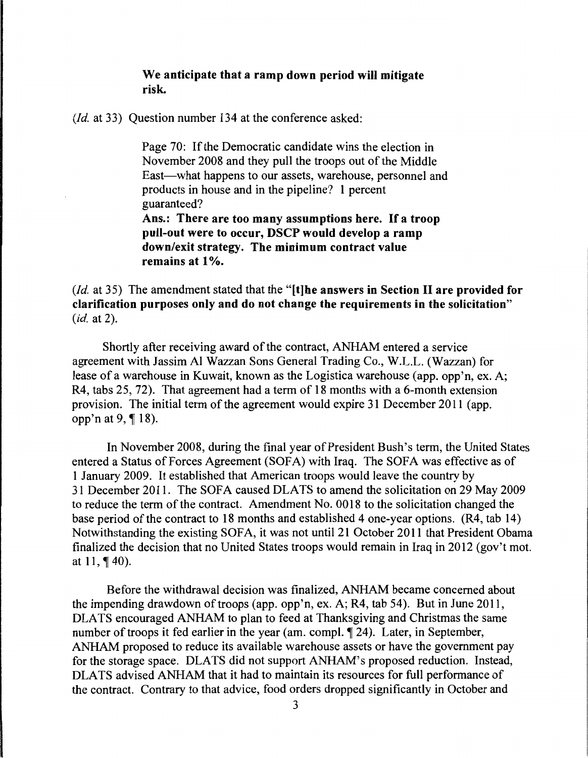## We anticipate that a ramp down period will mitigate risk.

*(Id.* at 33) Question number 134 at the conference asked:

Page 70: If the Democratic candidate wins the election in November 2008 and they pull the troops out of the Middle East-what happens to our assets, warehouse, personnel and products in house and in the pipeline? 1 percent guaranteed?

Ans.: There are too many assumptions here. If a troop pull-out were to occur, DSCP would develop a ramp down/exit strategy. The minimum contract value remains at 1%.

*(Id.* at 35) The amendment stated that the "[t]he answers in Section II are provided for clarification purposes only and do not change the requirements in the solicitation" *(id.* at 2).

Shortly after receiving award of the contract, ANHAM entered a service agreement with Jassim Al Wazzan Sons General Trading Co., W.L.L. (Wazzan) for lease of a warehouse in Kuwait, known as the Logistica warehouse (app. opp'n, ex. A; R4, tabs 25, 72). That agreement had a term of 18 months with a 6-month extension provision. The initial term of the agreement would expire 31 December 2011 (app. opp'n at 9,  $\P$  18).

In November 2008, during the final year of President Bush's term, the United States entered a Status of Forces Agreement (SOFA) with Iraq. The SOFA was effective as of 1 January 2009. It established that American troops would leave the country by 31 December 2011. The SOFA caused DLATS to amend the solicitation on 29 May 2009 to reduce the term of the contract. Amendment No. 0018 to the solicitation changed the base period of the contract to 18 months and established 4 one-year options. (R4, tab 14) Notwithstanding the existing SOFA, it was not until 21 October 2011 that President Obama finalized the decision that no United States troops would remain in Iraq in 2012 (gov't mot. at  $11, \frac{1}{9}$  40).

Before the withdrawal decision was finalized, ANHAM became concerned about the impending drawdown of troops (app. opp'n, ex. A; R4, tab 54). But in June 2011, DLA TS encouraged ANHAM to plan to feed at Thanksgiving and Christmas the same number of troops it fed earlier in the year (am. compl. 124). Later, in September, ANHAM proposed to reduce its available warehouse assets or have the government pay for the storage space. DLATS did not support ANHAM's proposed reduction. Instead, DLATS advised ANHAM that it had to maintain its resources for full performance of the contract. Contrary to that advice, food orders dropped significantly in October and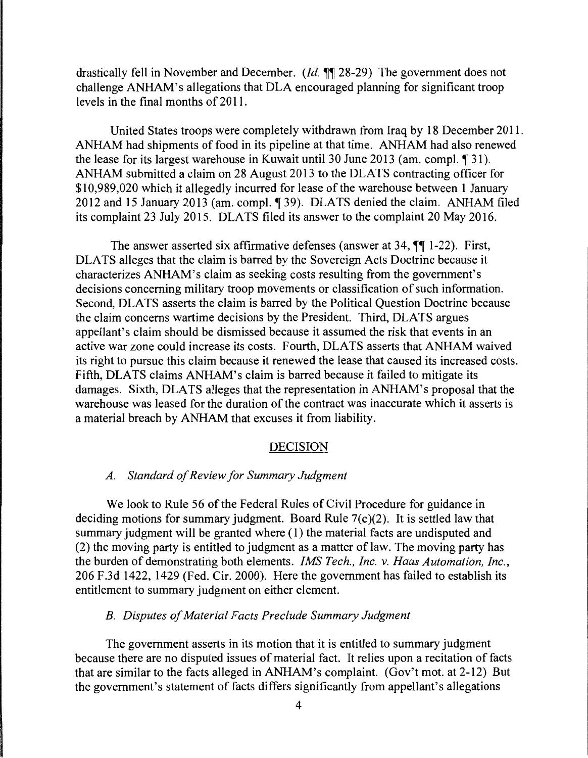drastically fell in November and December. *(Id.*  $\mathbb{I}$  28-29) The government does not challenge ANHAM's allegations that DLA encouraged planning for significant troop levels in the final months of 2011.

United States troops were completely withdrawn from Iraq by 18 December 2011. ANHAM had shipments of food in its pipeline at that time. ANHAM had also renewed the lease for its largest warehouse in Kuwait until 30 June 2013 (am. compl.  $\llbracket 31 \rrbracket$ ). ANHAM submitted a claim on 28 August 2013 to the DLATS contracting officer for \$10,989,020 which it allegedly incurred for lease of the warehouse between 1 January 2012 and 15 January 2013 (am. compl. 139). DLATS denied the claim. ANHAM filed its complaint 23 July 2015. DLATS filed its answer to the complaint 20 May 2016.

The answer asserted six affirmative defenses (answer at  $34$ ,  $\sqrt{\phantom{1}}$  1-22). First, DLATS alleges that the claim is barred by the Sovereign Acts Doctrine because it characterizes ANHAM's claim as seeking costs resulting from the government's decisions concerning military troop movements or classification of such information. Second, DLATS asserts the claim is barred by the Political Question Doctrine because the claim concerns wartime decisions by the President. Third, DLATS argues appellant's claim should be dismissed because it assumed the risk that events in an active war zone could increase its costs. Fourth, DLATS asserts that ANHAM waived its right to pursue this claim because it renewed the lease that caused its increased costs. Fifth, DLATS claims ANHAM's claim is barred because it failed to mitigate its damages. Sixth, DLATS alleges that the representation in ANHAM's proposal that the warehouse was leased for the duration of the contract was inaccurate which it asserts is a material breach by ANHAM that excuses it from liability.

### DECISION

### *A. Standard of Review for Summary Judgment*

We look to Rule 56 of the Federal Rules of Civil Procedure for guidance in deciding motions for summary judgment. Board Rule 7(c)(2). It is settled law that summary judgment will be granted where (1) the material facts are undisputed and (2) the moving party is entitled to judgment as a matter of law. The moving party has the burden of demonstrating both elements. *IMS Tech., Inc. v. Haas Automation, Inc.,*  206 F.3d 1422, 1429 (Fed. Cir. 2000). Here the government has failed to establish its entitlement to summary judgment on either element.

### *B. Disputes of Material Facts Preclude Summary Judgment*

The government asserts in its motion that it is entitled to summary judgment because there are no disputed issues of material fact. It relies upon a recitation of facts that are similar to the facts alleged in ANHAM's complaint. (Gov't mot. at 2-12) But the government's statement of facts differs significantly from appellant's allegations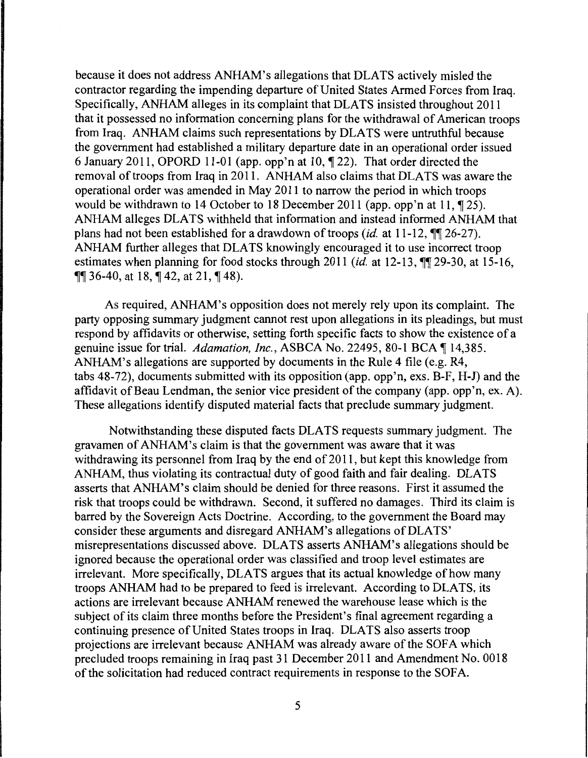because it does not address ANHAM's allegations that DLATS actively misled the contractor regarding the impending departure of United States Armed Forces from Iraq. Specifically, ANHAM alleges in its complaint that DLATS insisted throughout 2011 that it possessed no information concerning plans for the withdrawal of American troops from Iraq. ANHAM claims such representations by DLA TS were untruthful because the government had established a military departure date in an operational order issued 6 January 2011, OPORD 11-01 (app. opp'n at 10,  $\P$  22). That order directed the removal of troops from Iraq in 2011. ANHAM also claims that DLATS was aware the operational order was amended in May 2011 to narrow the period in which troops would be withdrawn to 14 October to 18 December 2011 (app. opp'n at 11,  $\P$  25). ANHAM alleges DLA TS withheld that information and instead informed ANHAM that plans had not been established for a drawdown of troops *(id.* at 11-12,  $\P\P$  26-27). ANHAM further alleges that DLATS knowingly encouraged it to use incorrect troop estimates when planning for food stocks through 2011 *(id.* at 12-13,  $\P\P$  29-30, at 15-16,  $\P\P$  36-40, at 18,  $\P$  42, at 21,  $\P$  48).

As required, ANHAM's opposition does not merely rely upon its complaint. The party opposing summary judgment cannot rest upon allegations in its pleadings, but must respond by affidavits or otherwise, setting forth specific facts to show the existence of a genuine issue for trial. *Adamation, Inc.*, ASBCA No. 22495, 80-1 BCA ¶ 14,385. ANHAM's allegations are supported by documents in the Rule 4 file (e.g. R4, tabs 48-72), documents submitted with its opposition (app. opp'n, exs. B-F, H-J) and the affidavit of Beau Lendman, the senior vice president of the company (app. opp'n, ex. A). These allegations identify disputed material facts that preclude summary judgment.

Notwithstanding these disputed facts DLA TS requests summary judgment. The gravamen of ANHAM's claim is that the government was aware that it was withdrawing its personnel from Iraq by the end of 2011, but kept this knowledge from ANHAM, thus violating its contractual duty of good faith and fair dealing. DLATS asserts that ANHAM's claim should be denied for three reasons. First it assumed the risk that troops could be withdrawn. Second, it suffered no damages. Third its claim is barred by the Sovereign Acts Doctrine. According, to the government the Board may consider these arguments and disregard ANHAM's allegations of DLATS' misrepresentations discussed above. DLATS asserts ANHAM's allegations should be ignored because the operational order was classified and troop level estimates are irrelevant. More specifically, DLATS argues that its actual knowledge of how many troops ANHAM had to be prepared to feed is irrelevant. According to DLATS, its actions are irrelevant because ANHAM renewed the warehouse lease which is the subject of its claim three months before the President's final agreement regarding a continuing presence of United States troops in Iraq. DLATS also asserts troop projections are irrelevant because ANHAM was already aware of the SOFA which precluded troops remaining in Iraq past 31 December 2011 and Amendment No. 0018 of the solicitation had reduced contract requirements in response to the SOFA.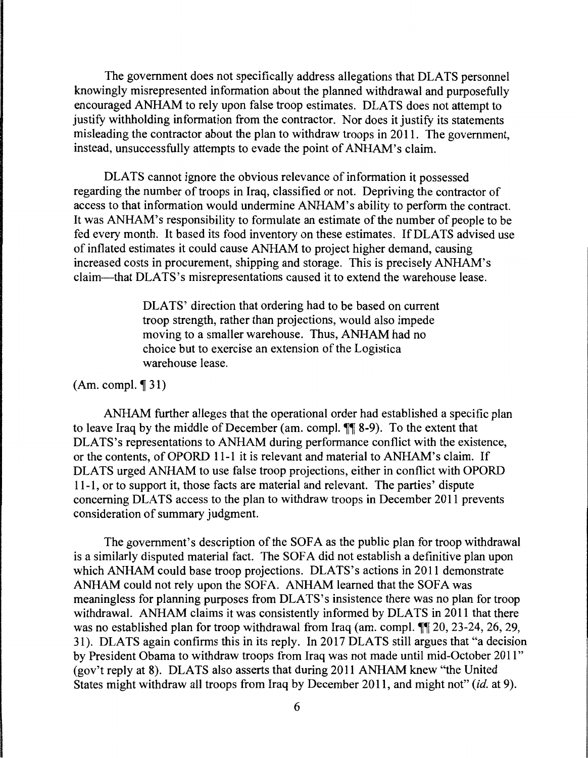The government does not specifically address allegations that DLATS personnel knowingly misrepresented information about the planned withdrawal and purposefully encouraged ANHAM to rely upon false troop estimates. DLA TS does not attempt to justify withholding information from the contractor. Nor does it justify its statements misleading the contractor about the plan to withdraw troops in 2011. The government, instead, unsuccessfully attempts to evade the point of ANHAM's claim.

DLATS cannot ignore the obvious relevance of information it possessed regarding the number of troops in Iraq, classified or not. Depriving the contractor of access to that information would undermine ANHAM's ability to perform the contract. It was ANHAM's responsibility to formulate an estimate of the number of people to be fed every month. It based its food inventory on these estimates. If DLATS advised use of inflated estimates it could cause ANHAM to project higher demand, causing increased costs in procurement, shipping and storage. This is precisely ANHAM's claim-that DLATS's misrepresentations caused it to extend the warehouse lease.

> DLATS' direction that ordering had to be based on current troop strength, rather than projections, would also impede moving to a smaller warehouse. Thus, ANHAM had no choice but to exercise an extension of the Logistica warehouse lease.

#### $(Am. compl. \P 31)$

ANHAM further alleges that the operational order had established a specific plan to leave Iraq by the middle of December (am. compl.  $\P\P$  8-9). To the extent that DLATS's representations to ANHAM during performance conflict with the existence, or the contents, of OPORD 11-1 it is relevant and material to ANHAM's claim. If DLATS urged ANHAM to use false troop projections, either in conflict with OPORD 11-1, or to support it, those facts are material and relevant. The parties' dispute concerning DLATS access to the plan to withdraw troops in December 2011 prevents consideration of summary judgment.

The government's description of the SOFA as the public plan for troop withdrawal is a similarly disputed material fact. The SOFA did not establish a definitive plan upon which ANHAM could base troop projections. DLATS's actions in 2011 demonstrate ANHAM could not rely upon the SOFA. ANHAM learned that the SOFA was meaningless for planning purposes from DLATS's insistence there was no plan for troop withdrawal. ANHAM claims it was consistently informed by DLATS in 2011 that there was no established plan for troop withdrawal from Iraq (am. compl.  $\P$  $\otimes$  23-24, 26, 29, 31). DLATS again confirms this in its reply. In 2017 DLATS still argues that "a decision by President Obama to withdraw troops from Iraq was not made until mid-October 2011" (gov't reply at 8). DLATS also asserts that during 2011 ANHAM knew "the United States might withdraw all troops from Iraq by December 2011, and might not" *(id.* at 9).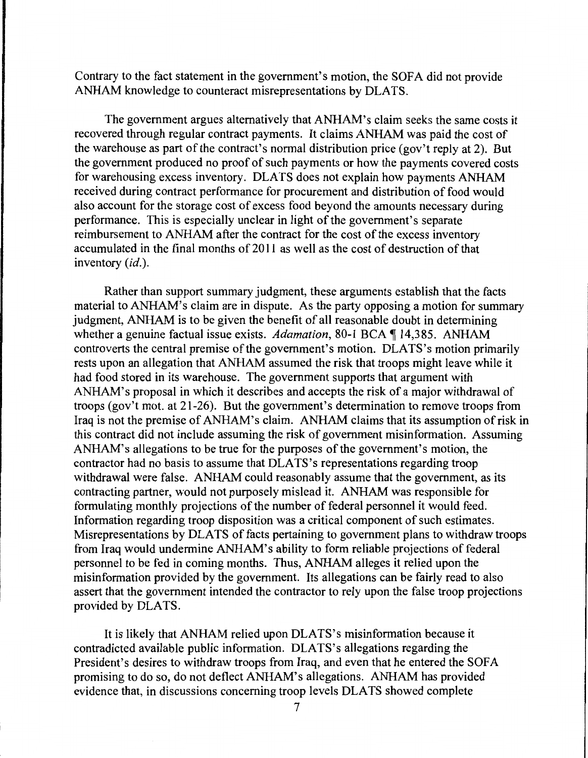Contrary to the fact statement in the government's motion, the SOFA did not provide ANHAM knowledge to counteract misrepresentations by DLATS.

The government argues alternatively that ANHAM's claim seeks the same costs it recovered through regular contract payments. It claims ANHAM was paid the cost of the warehouse as part of the contract's normal distribution price (gov't reply at 2). But the government produced no proof of such payments or how the payments covered costs for warehousing excess inventory. DLATS does not explain how payments ANHAM received during contract performance for procurement and distribution of food would also account for the storage cost of excess food beyond the amounts necessary during performance. This is especially unclear in light of the government's separate reimbursement to ANHAM after the contract for the cost of the excess inventory accumulated in the final months of 2011 as well as the cost of destruction of that inventory *(id.).* 

Rather than support summary judgment, these arguments establish that the facts material to ANHAM's claim are in dispute. As the party opposing a motion for summary judgment, ANHAM is to be given the benefit of all reasonable doubt in determining whether a genuine factual issue exists. *Adamation*, 80-1 BCA ¶ 14,385. ANHAM controverts the central premise of the government's motion. DLATS's motion primarily rests upon an allegation that ANHAM assumed the risk that troops might leave while it had food stored in its warehouse. The government supports that argument with ANHAM's proposal in which it describes and accepts the risk of a major withdrawal of troops (gov't mot. at 21-26). But the government's determination to remove troops from Iraq is not the premise of ANHAM's claim. ANHAM claims that its assumption of risk in this contract did not include assuming the risk of government misinformation. Assuming ANHAM's allegations to be true for the purposes of the government's motion, the contractor had no basis to assume that DLATS's representations regarding troop withdrawal were false. ANHAM could reasonably assume that the government, as its contracting partner, would not purposely mislead it. ANHAM was responsible for formulating monthly projections of the number of federal personnel it would feed. Information regarding troop disposition was a critical component of such estimates. Misrepresentations by DLATS of facts pertaining to government plans to withdraw troops from Iraq would undermine ANHAM's ability to form reliable projections of federal personnel to be fed in coming months. Thus, ANHAM alleges it relied upon the misinformation provided by the government. Its allegations can be fairly read to also assert that the government intended the contractor to rely upon the false troop projections provided by DLATS.

It is likely that ANHAM relied upon DLATS's misinformation because it contradicted available public information. DLATS's allegations regarding the President's desires to withdraw troops from Iraq, and even that he entered the SOFA promising to do so, do not deflect ANHAM's allegations. ANHAM has provided evidence that, in discussions concerning troop levels DLA TS showed complete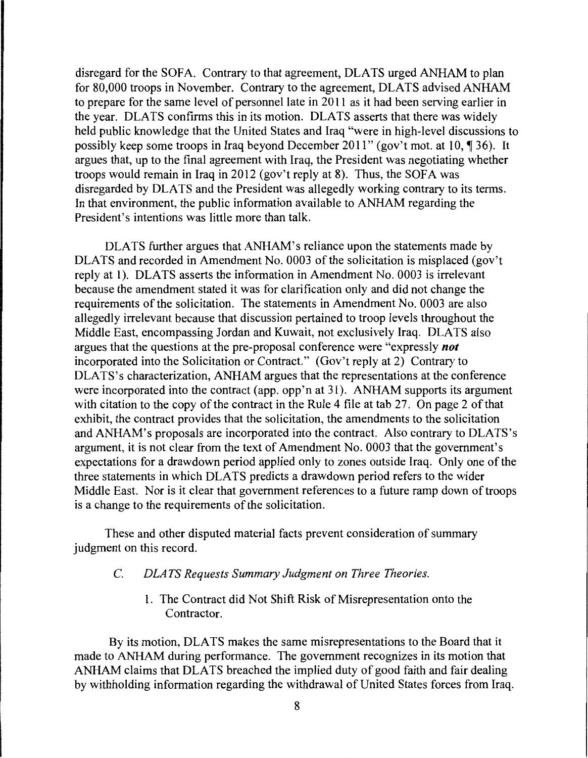disregard for the SOFA. Contrary to that agreement, DLATS urged ANHAM to plan for 80,000 troops in November. Contrary to the agreement, DLATS advised ANHAM to prepare for the same level of personnel late in 2011 as it had been serving earlier in the year. DLATS confirms this in its motion. DLATS asserts that there was widely held public knowledge that the United States and Iraq "were in high-level discussions to possibly keep some troops in Iraq beyond December 2011" (gov't mot. at 10,  $\sqrt{ }$  36). It argues that, up to the final agreement with Iraq, the President was negotiating whether troops would remain in Iraq in 2012 (gov't reply at 8). Thus, the SOFA was disregarded by DLATS and the President was allegedly working contrary to its terms. In that environment, the public information available to ANHAM regarding the President's intentions was little more than talk.

DLATS further argues that ANHAM's reliance upon the statements made by DLATS and recorded in Amendment No. 0003 of the solicitation is misplaced (gov't reply at 1). DLATS asserts the information in Amendment No. 0003 is irrelevant because the amendment stated it was for clarification only and did not change the requirements of the solicitation. The statements in Amendment No. 0003 are also allegedly irrelevant because that discussion pertained to troop levels throughout the Middle East, encompassing Jordan and Kuwait, not exclusively Iraq. DLATS also argues that the questions at the pre-proposal conference were "expressly *not*  incorporated into the Solicitation or Contract." (Gov't reply at 2) Contrary to DLATS's characterization, ANHAM argues that the representations at the conference were incorporated into the contract (app. opp'n at 31). ANHAM supports its argument with citation to the copy of the contract in the Rule 4 file at tab 27. On page 2 of that exhibit, the contract provides that the solicitation, the amendments to the solicitation and ANHAM's proposals are incorporated into the contract. Also contrary to DLATS's argument, it is not clear from the text of Amendment No. 0003 that the government's expectations for a drawdown period applied only to zones outside Iraq. Only one of the three statements in which DLA TS predicts a drawdown period refers to the wider Middle East. Nor is it clear that government references to a future ramp down of troops is a change to the requirements of the solicitation.

These and other disputed material facts prevent consideration of summary judgment on this record.

- C. *DLA TS Requests Summary Judgment on Three Theories.* 
	- 1. The Contract did Not Shift Risk of Misrepresentation onto the Contractor.

By its motion, DLATS makes the same misrepresentations to the Board that it made to ANHAM during performance. The government recognizes in its motion that ANHAM claims that DLATS breached the implied duty of good faith and fair dealing by withholding information regarding the withdrawal of United States forces from Iraq.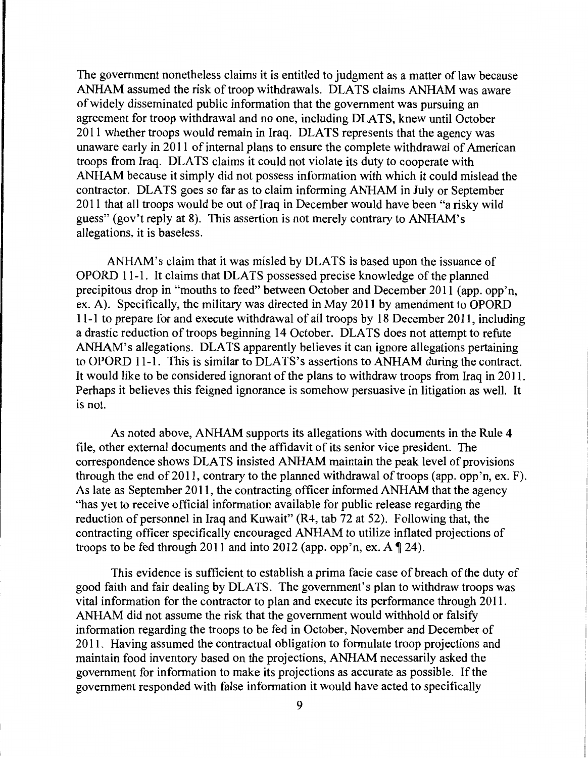The government nonetheless claims it is entitled to judgment as a matter of law because ANHAM assumed the risk of troop withdrawals. DLATS claims ANHAM was aware of widely disseminated public information that the government was pursuing an agreement for troop withdrawal and no one, including DLATS, knew until October 2011 whether troops would remain in Iraq. DLA TS represents that the agency was unaware early in 2011 of internal plans to ensure the complete withdrawal of American troops from Iraq. DLA TS claims it could not violate its duty to cooperate with ANHAM because it simply did not possess information with which it could mislead the contractor. DLATS goes so far as to claim informing ANHAM in July or September 2011 that all troops would be out of Iraq in December would have been "a risky wild guess" (gov't reply at 8). This assertion is not merely contrary to ANHAM's allegations, it is baseless.

ANHAM's claim that it was misled by DLATS is based upon the issuance of OPORD 11-1. It claims that DLA TS possessed precise knowledge of the planned precipitous drop in "mouths to feed" between October and December 2011 (app. opp'n, ex. A). Specifically, the military was directed in May 2011 by amendment to OPORD 11-1 to prepare for and execute withdrawal of all troops by 18 December 2011, including a drastic reduction of troops beginning 14 October. DLATS does not attempt to refute ANHAM's allegations. DLATS apparently believes it can ignore allegations pertaining to OPORD 11-1. This is similar to DLATS's assertions to ANHAM during the contract. It would like to be considered ignorant of the plans to withdraw troops from Iraq in 2011. Perhaps it believes this feigned ignorance is somehow persuasive in litigation as well. It is not.

As noted above, ANHAM supports its allegations with documents in the Rule 4 file, other external documents and the affidavit of its senior vice president. The correspondence shows DLATS insisted ANHAM maintain the peak level of provisions through the end of 2011, contrary to the planned withdrawal of troops (app. opp'n, ex. F). As late as September 2011, the contracting officer informed ANHAM that the agency ·'has yet to receive official information available for public release regarding the reduction of personnel in Iraq and Kuwait" (R4, tab 72 at 52). Following that, the contracting officer specifically encouraged ANHAM to utilize inflated projections of troops to be fed through 2011 and into 2012 (app. opp'n, ex. A  $\P$  24).

This evidence is sufficient to establish a prima facie case of breach of the duty of good faith and fair dealing by DLATS. The government's plan to withdraw troops was vital information for the contractor to plan and execute its performance through 2011. ANHAM did not assume the risk that the government would withhold or falsify information regarding the troops to be fed in October, November and December of 2011. Having assumed the contractual obligation to formulate troop projections and maintain food inventory based on the projections, ANHAM necessarily asked the government for information to make its projections as accurate as possible. If the government responded with false information it would have acted to specifically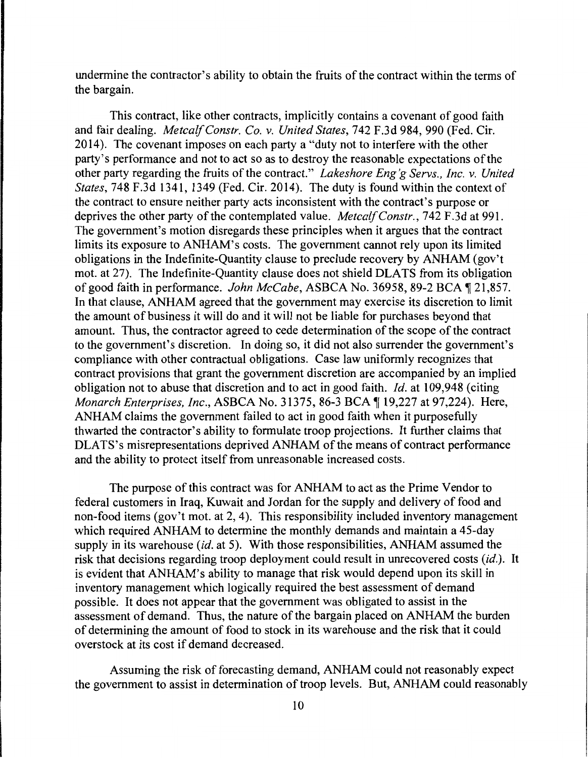undermine the contractor's ability to obtain the fruits of the contract within the terms of the bargain.

This contract, like other contracts, implicitly contains a covenant of good faith and fair dealing. *MetcalfConstr. Co. v. United States,* 742 F.3d 984, 990 (Fed. Cir. 2014). The covenant imposes on each party a "duty not to interfere with the other party's performance and not to act so as to destroy the reasonable expectations of the other party regarding the fruits of the contract." *Lakeshore Eng 'g Servs., Inc. v. United States,* 748 F.3d 1341, 1349 (Fed. Cir. 2014). The duty is found within the context of the contract to ensure neither party acts inconsistent with the contract's purpose or deprives the other party of the contemplated value. *MetcalfConstr.,* 742 F.3d at 991. The government's motion disregards these principles when it argues that the contract limits its exposure to ANHAM's costs. The government cannot rely upon its limited obligations in the Indefinite-Quantity clause to preclude recovery by ANHAM (gov't mot. at 27). The Indefinite-Quantity clause does not shield DLA TS from its obligation of good faith in performance. *John McCabe*, ASBCA No. 36958, 89-2 BCA 1 21,857. In that clause, ANHAM agreed that the government may exercise its discretion to limit the amount of business it will do and it will not be liable for purchases beyond that amount. Thus, the contractor agreed to cede determination of the scope of the contract to the government's discretion. In doing so, it did not also surrender the government's compliance with other contractual obligations. Case law uniformly recognizes that contract provisions that grant the government discretion are accompanied by an implied obligation not to abuse that discretion and to act in good faith. *Id.* at 109,948 (citing *Monarch Enterprises, Inc., ASBCA No.* 31375, 86-3 BCA ¶ 19,227 at 97,224). Here, ANHAM claims the government failed to act in good faith when it purposefully thwarted the contractor's ability to formulate troop projections. It further claims that DLATS's misrepresentations deprived ANHAM of the means of contract performance and the ability to protect itself from unreasonable increased costs.

The purpose of this contract was for ANHAM to act as the Prime Vendor to federal customers in Iraq, Kuwait and Jordan for the supply and delivery of food and non-food items (gov't mot. at 2, 4). This responsibility included inventory management which required ANHAM to determine the monthly demands and maintain a 45-day supply in its warehouse *(id.* at 5). With those responsibilities, ANHAM assumed the risk that decisions regarding troop deployment could result in unrecovered costs *(id.).* It is evident that ANHAM's ability to manage that risk would depend upon its skill in inventory management which logically required the best assessment of demand possible. It does not appear that the government was obligated to assist in the assessment of demand. Thus, the nature of the bargain placed on ANHAM the burden of determining the amount of food to stock in its warehouse and the risk that it could overstock at its cost if demand decreased.

Assuming the risk of forecasting demand, ANHAM could not reasonably expect the government to assist in determination of troop levels. But, ANHAM could reasonably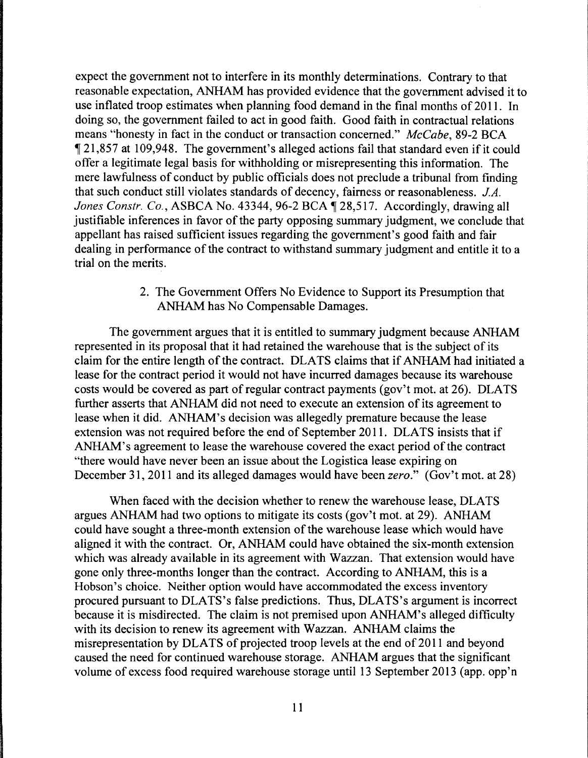expect the government not to interfere in its monthly determinations. Contrary to that reasonable expectation, ANHAM has provided evidence that the government advised it to use inflated troop estimates when planning food demand in the final months of 2011. In doing so, the government failed to act in good faith. Good faith in contractual relations means "honesty in fact in the conduct or transaction concerned." *McCabe,* 89-2 BCA 121,857 at 109,948. The government's alleged actions fail that standard even if it could offer a legitimate legal basis for withholding or misrepresenting this information. The mere lawfulness of conduct by public officials does not preclude a tribunal from finding that such conduct still violates standards of decency, fairness or reasonableness. *JA. Jones Constr. Co., ASBCA No.* 43344, 96-2 BCA  $\P$  28,517. Accordingly, drawing all justifiable inferences in favor of the party opposing summary judgment, we conclude that appellant has raised sufficient issues regarding the government's good faith and fair dealing in performance of the contract to withstand summary judgment and entitle it to a trial on the merits.

> 2. The Government Offers No Evidence to Support its Presumption that ANHAM has No Compensable Damages.

The government argues that it is entitled to summary judgment because ANHAM represented in its proposal that it had retained the warehouse that is the subject of its claim for the entire length of the contract. DLATS claims that if ANHAM had initiated a lease for the contract period it would not have incurred damages because its warehouse costs would be covered as part of regular contract payments (gov't mot. at 26). DLATS further asserts that ANHAM did not need to execute an extension of its agreement to lease when it did. ANHAM's decision was allegedly premature because the lease extension was not required before the end of September 2011. DLATS insists that if ANHAM's agreement to lease the warehouse covered the exact period of the contract "there would have never been an issue about the Logistica lease expiring on December 31, 2011 and its alleged damages would have been *zero."* (Gov't mot. at 28)

When faced with the decision whether to renew the warehouse lease, DLATS argues ANHAM had two options to mitigate its costs (gov't mot. at 29). ANHAM could have sought a three-month extension of the warehouse lease which would have aligned it with the contract. Or, ANHAM could have obtained the six-month extension which was already available in its agreement with Wazzan. That extension would have gone only three-months longer than the contract. According to ANHAM, this is a Hobson's choice. Neither option would have accommodated the excess inventory procured pursuant to DLATS's false predictions. Thus, DLATS's argument is incorrect because it is misdirected. The claim is not premised upon ANHAM's alleged difficulty with its decision to renew its agreement with Wazzan. ANHAM claims the misrepresentation by DLA TS of projected troop levels at the end of 2011 and beyond caused the need for continued warehouse storage. ANHAM argues that the significant volume of excess food required warehouse storage until 13 September 2013 (app. opp'n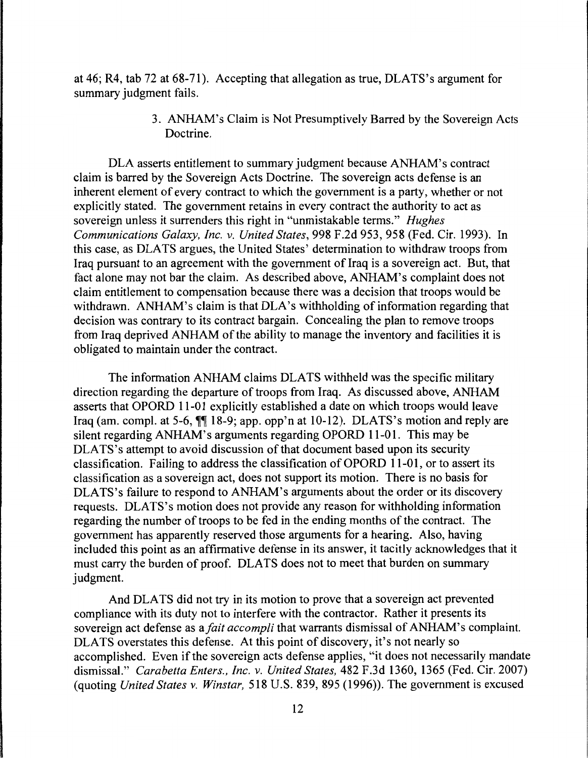at 46; R4, tab 72 at 68-71). Accepting that allegation as true, DLATS's argument for summary judgment fails.

> 3. ANHAM's Claim is Not Presumptively Barred by the Sovereign Acts Doctrine.

DLA asserts entitlement to summary judgment because ANHAM's contract claim is barred by the Sovereign Acts Doctrine. The sovereign acts defense is an inherent element of every contract to which the government is a party, whether or not explicitly stated. The government retains in every contract the authority to act as sovereign unless it surrenders this right in "unmistakable terms." *Hughes Communications Galaxy, Inc. v. United States,* 998 F.2d 953, 958 (Fed. Cir. 1993). In this case, as DLA TS argues, the United States' determination to withdraw troops from Iraq pursuant to an agreement with the government of Iraq is a sovereign act. But, that fact alone may not bar the claim. As described above, ANHAM's complaint does not claim entitlement to compensation because there was a decision that troops would be withdrawn. ANHAM's claim is that DLA's withholding of information regarding that decision was contrary to its contract bargain. Concealing the plan to remove troops from Iraq deprived ANHAM of the ability to manage the inventory and facilities it is obligated to maintain under the contract.

The information ANHAM claims DLATS withheld was the specific military direction regarding the departure of troops from Iraq. As discussed above, ANHAM asserts that OPORD 11-01 explicitly established a date on which troops would leave Iraq (am. compl. at 5-6,  $\P\P$  18-9; app. opp'n at 10-12). DLATS's motion and reply are silent regarding ANHAM's arguments regarding OPORD 11-01. This may be DLATS's attempt to avoid discussion of that document based upon its security classification. Failing to address the classification of OPORD 11-01, or to assert its classification as a sovereign act, does not support its motion. There is no basis for DLATS's failure to respond to ANHAM's arguments about the order or its discovery requests. DLATS's motion does not provide any reason for withholding information regarding the number of troops to be fed in the ending months of the contract. The government has apparently reserved those arguments for a hearing. Also, having included this point as an affirmative defense in its answer, it tacitly acknowledges that it must carry the burden of proof. DLATS does not to meet that burden on summary judgment.

And DLATS did not try in its motion to prove that a sovereign act prevented compliance with its duty not to interfere with the contractor. Rather it presents its sovereign act defense as *afait accompli* that warrants dismissal of ANHAM's complaint. DLATS overstates this defense. At this point of discovery, it's not nearly so accomplished. Even if the sovereign acts defense applies, "it does not necessarily mandate dismissal." *Carabetta Enters., Inc. v. United States,* 482 F.3d 1360, 1365 (Fed. Cir. 2007) (quoting *United States v. Winstar,* 518 U.S. 839, 895 (1996)). The government is excused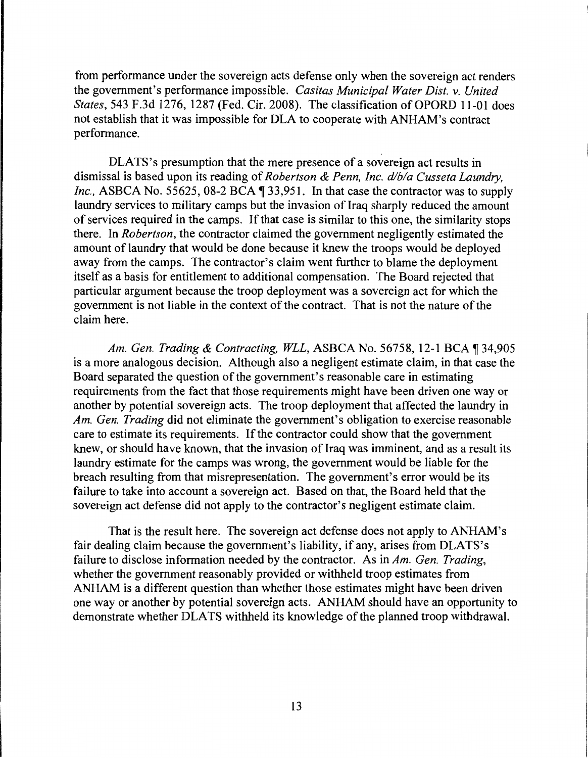from performance under the sovereign acts defense only when the sovereign act renders the government's performance impossible. *Casitas Municipal Water Dist. v. United States,* 543 F.3d 1276, 1287 (Fed. Cir. 2008). The classification of OPORD 11-01 does not establish that it was impossible for DLA to cooperate with ANHAM's contract performance.

DLATS's presumption that the mere presence of a sovereign act results in dismissal is based upon its reading of *Robertson* & *Penn, Inc. d/b/a Cusseta Laundry, Inc.*, ASBCA No. 55625, 08-2 BCA  $\parallel$  33,951. In that case the contractor was to supply laundry services to military camps but the invasion of Iraq sharply reduced the amount of services required in the camps. If that case is similar to this one, the similarity stops there. In *Robertson,* the contractor claimed the government negligently estimated the amount of laundry that would be done because it knew the troops would be deployed away from the camps. The contractor's claim went further to blame the deployment itself as a basis for entitlement to additional compensation. The Board rejected that particular argument because the troop deployment was a sovereign act for which the government is not liable in the context of the contract. That is not the nature of the claim here.

*Am. Gen. Trading* & *Contracting, WLL,* ASBCA No. 56758, 12-1BCA~34,905 is a more analogous decision. Although also a negligent estimate claim, in that case the Board separated the question of the government's reasonable care in estimating requirements from the fact that those requirements might have been driven one way or another by potential sovereign acts. The troop deployment that affected the laundry in *Am. Gen. Trading* did not eliminate the government's obligation to exercise reasonable care to estimate its requirements. If the contractor could show that the government knew, or should have known, that the invasion of Iraq was imminent, and as a result its laundry estimate for the camps was wrong, the government would be liable for the breach resulting from that misrepresentation. The government's error would be its failure to take into account a sovereign act. Based on that, the Board held that the sovereign act defense did not apply to the contractor's negligent estimate claim.

That is the result here. The sovereign act defense does not apply to ANHAM's fair dealing claim because the government's liability, if any, arises from DLATS's failure to disclose information needed by the contractor. As in *Am. Gen. Trading,*  whether the government reasonably provided or withheld troop estimates from ANHAM is a different question than whether those estimates might have been driven one way or another by potential sovereign acts. ANHAM should have an opportunity to demonstrate whether DLATS withheld its knowledge of the planned troop withdrawal.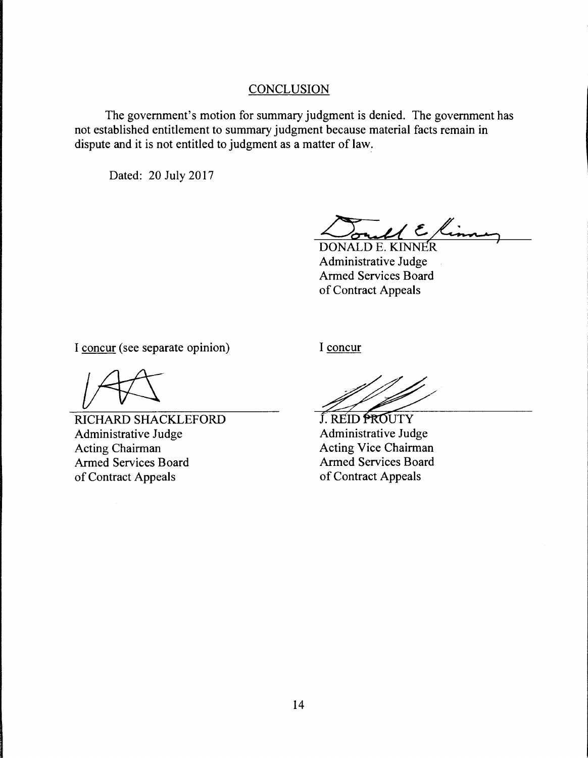### **CONCLUSION**

The government's motion for summary judgment is denied. The government has not established entitlement to summary judgment because material facts remain in dispute and it is not entitled to judgment as a matter of law.

Dated: 20 July 2017

 $\mathcal{U} \in \mathcal{K}$ 

DONALD E. KINNER Administrative Judge Armed Services Board of Contract Appeals

I concur (see separate opinion)

RICHARD SHACKLEFORD Administrative Judge Acting Chairman Armed Services Board of Contract Appeals

I concur

J. REID PROUTY Administrative Judge Acting Vice Chairman Armed Services Board of Contract Appeals